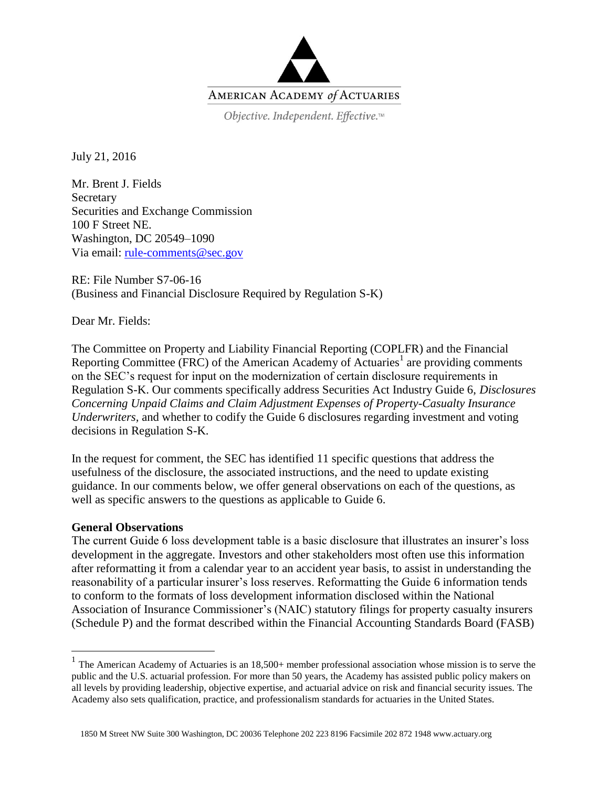

Objective. Independent. Effective.™

July 21, 2016

Mr. Brent J. Fields **Secretary** Securities and Exchange Commission 100 F Street NE. Washington, DC 20549–1090 Via email: [rule-comments@sec.gov](mailto:rule-comments@sec.gov)

RE: File Number S7-06-16 (Business and Financial Disclosure Required by Regulation S-K)

Dear Mr. Fields:

The Committee on Property and Liability Financial Reporting (COPLFR) and the Financial Reporting Committee (FRC) of the American Academy of Actuaries<sup>1</sup> are providing comments on the SEC's request for input on the modernization of certain disclosure requirements in Regulation S-K. Our comments specifically address Securities Act Industry Guide 6, *Disclosures Concerning Unpaid Claims and Claim Adjustment Expenses of Property-Casualty Insurance Underwriters,* and whether to codify the Guide 6 disclosures regarding investment and voting decisions in Regulation S-K.

In the request for comment, the SEC has identified 11 specific questions that address the usefulness of the disclosure, the associated instructions, and the need to update existing guidance. In our comments below, we offer general observations on each of the questions, as well as specific answers to the questions as applicable to Guide 6.

## **General Observations**

The current Guide 6 loss development table is a basic disclosure that illustrates an insurer's loss development in the aggregate. Investors and other stakeholders most often use this information after reformatting it from a calendar year to an accident year basis, to assist in understanding the reasonability of a particular insurer's loss reserves. Reformatting the Guide 6 information tends to conform to the formats of loss development information disclosed within the National Association of Insurance Commissioner's (NAIC) statutory filings for property casualty insurers (Schedule P) and the format described within the Financial Accounting Standards Board (FASB)

<sup>&</sup>lt;sup>1</sup> The American Academy of Actuaries is an 18,500+ member professional association whose mission is to serve the public and the U.S. actuarial profession. For more than 50 years, the Academy has assisted public policy makers on all levels by providing leadership, objective expertise, and actuarial advice on risk and financial security issues. The Academy also sets qualification, practice, and professionalism standards for actuaries in the United States.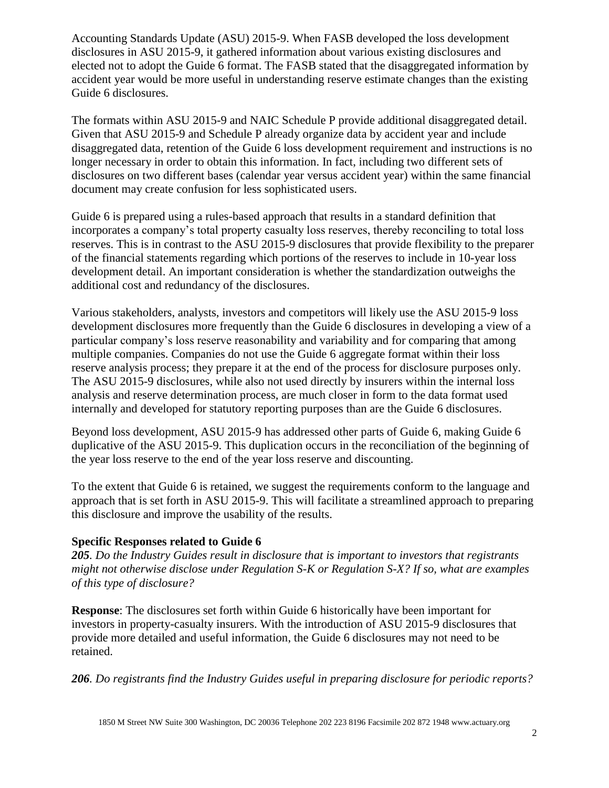Accounting Standards Update (ASU) 2015-9. When FASB developed the loss development disclosures in ASU 2015-9, it gathered information about various existing disclosures and elected not to adopt the Guide 6 format. The FASB stated that the disaggregated information by accident year would be more useful in understanding reserve estimate changes than the existing Guide 6 disclosures.

The formats within ASU 2015-9 and NAIC Schedule P provide additional disaggregated detail. Given that ASU 2015-9 and Schedule P already organize data by accident year and include disaggregated data, retention of the Guide 6 loss development requirement and instructions is no longer necessary in order to obtain this information. In fact, including two different sets of disclosures on two different bases (calendar year versus accident year) within the same financial document may create confusion for less sophisticated users.

Guide 6 is prepared using a rules-based approach that results in a standard definition that incorporates a company's total property casualty loss reserves, thereby reconciling to total loss reserves. This is in contrast to the ASU 2015-9 disclosures that provide flexibility to the preparer of the financial statements regarding which portions of the reserves to include in 10-year loss development detail. An important consideration is whether the standardization outweighs the additional cost and redundancy of the disclosures.

Various stakeholders, analysts, investors and competitors will likely use the ASU 2015-9 loss development disclosures more frequently than the Guide 6 disclosures in developing a view of a particular company's loss reserve reasonability and variability and for comparing that among multiple companies. Companies do not use the Guide 6 aggregate format within their loss reserve analysis process; they prepare it at the end of the process for disclosure purposes only. The ASU 2015-9 disclosures, while also not used directly by insurers within the internal loss analysis and reserve determination process, are much closer in form to the data format used internally and developed for statutory reporting purposes than are the Guide 6 disclosures.

Beyond loss development, ASU 2015-9 has addressed other parts of Guide 6, making Guide 6 duplicative of the ASU 2015-9. This duplication occurs in the reconciliation of the beginning of the year loss reserve to the end of the year loss reserve and discounting.

To the extent that Guide 6 is retained, we suggest the requirements conform to the language and approach that is set forth in ASU 2015-9. This will facilitate a streamlined approach to preparing this disclosure and improve the usability of the results.

## **Specific Responses related to Guide 6**

*205. Do the Industry Guides result in disclosure that is important to investors that registrants might not otherwise disclose under Regulation S-K or Regulation S-X? If so, what are examples of this type of disclosure?* 

**Response**: The disclosures set forth within Guide 6 historically have been important for investors in property-casualty insurers. With the introduction of ASU 2015-9 disclosures that provide more detailed and useful information, the Guide 6 disclosures may not need to be retained.

*206. Do registrants find the Industry Guides useful in preparing disclosure for periodic reports?*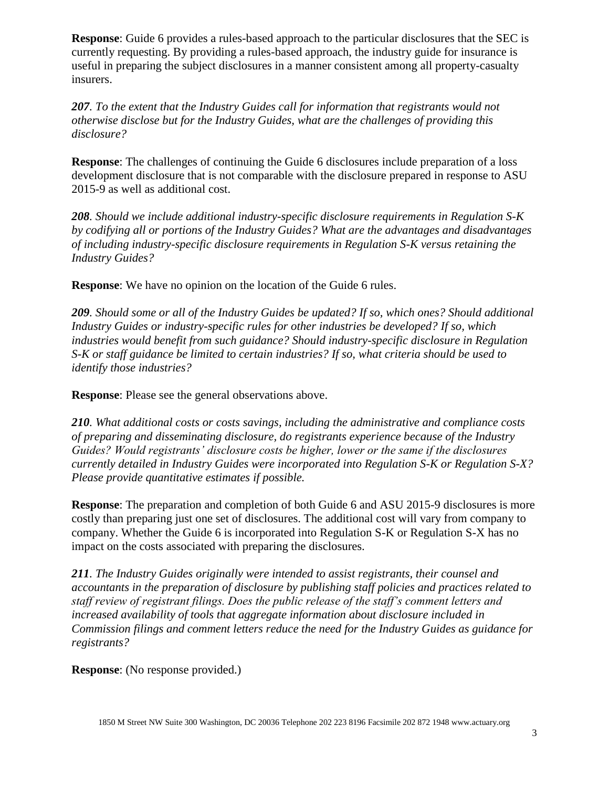**Response**: Guide 6 provides a rules-based approach to the particular disclosures that the SEC is currently requesting. By providing a rules-based approach, the industry guide for insurance is useful in preparing the subject disclosures in a manner consistent among all property-casualty insurers.

*207. To the extent that the Industry Guides call for information that registrants would not otherwise disclose but for the Industry Guides, what are the challenges of providing this disclosure?* 

**Response:** The challenges of continuing the Guide 6 disclosures include preparation of a loss development disclosure that is not comparable with the disclosure prepared in response to ASU 2015-9 as well as additional cost.

*208. Should we include additional industry-specific disclosure requirements in Regulation S-K by codifying all or portions of the Industry Guides? What are the advantages and disadvantages of including industry-specific disclosure requirements in Regulation S-K versus retaining the Industry Guides?* 

**Response**: We have no opinion on the location of the Guide 6 rules.

*209. Should some or all of the Industry Guides be updated? If so, which ones? Should additional Industry Guides or industry-specific rules for other industries be developed? If so, which industries would benefit from such guidance? Should industry-specific disclosure in Regulation S-K or staff guidance be limited to certain industries? If so, what criteria should be used to identify those industries?* 

**Response**: Please see the general observations above.

*210. What additional costs or costs savings, including the administrative and compliance costs of preparing and disseminating disclosure, do registrants experience because of the Industry Guides? Would registrants' disclosure costs be higher, lower or the same if the disclosures currently detailed in Industry Guides were incorporated into Regulation S-K or Regulation S-X? Please provide quantitative estimates if possible.* 

**Response**: The preparation and completion of both Guide 6 and ASU 2015-9 disclosures is more costly than preparing just one set of disclosures. The additional cost will vary from company to company. Whether the Guide 6 is incorporated into Regulation S-K or Regulation S-X has no impact on the costs associated with preparing the disclosures.

*211. The Industry Guides originally were intended to assist registrants, their counsel and accountants in the preparation of disclosure by publishing staff policies and practices related to staff review of registrant filings. Does the public release of the staff's comment letters and increased availability of tools that aggregate information about disclosure included in Commission filings and comment letters reduce the need for the Industry Guides as guidance for registrants?*

**Response**: (No response provided.)